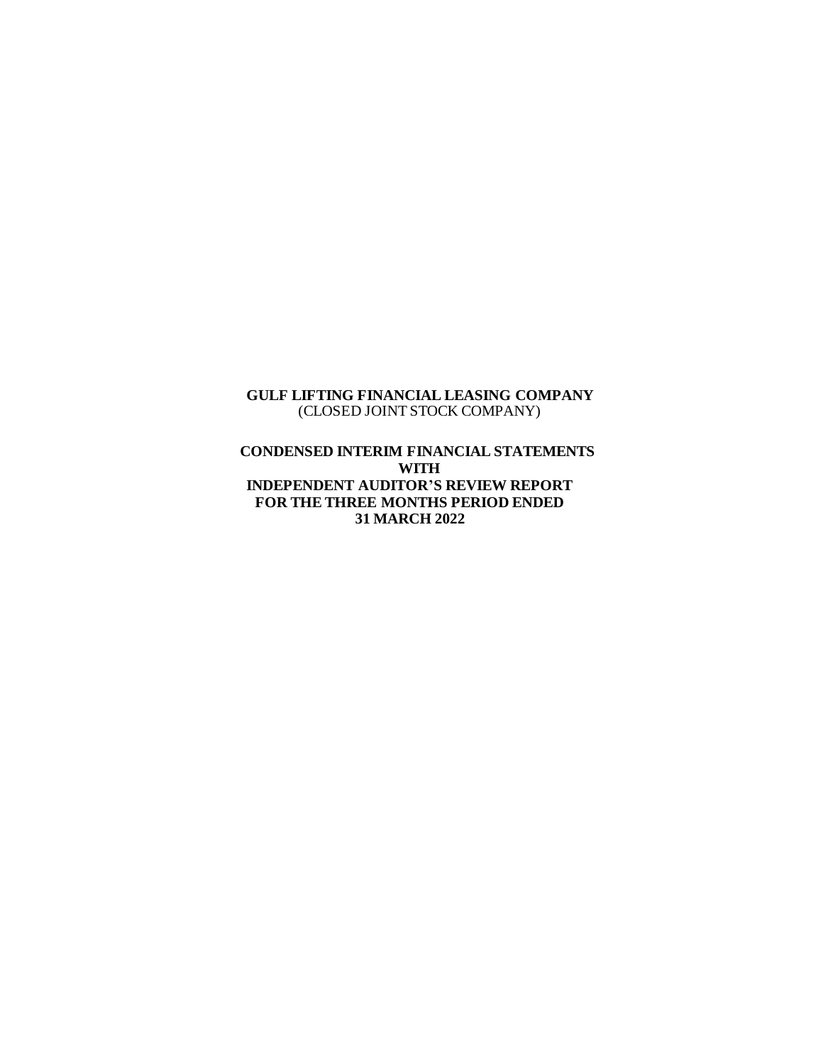#### **GULF LIFTING FINANCIAL LEASING COMPANY** (CLOSED JOINT STOCK COMPANY)

**CONDENSED INTERIM FINANCIAL STATEMENTS WITH INDEPENDENT AUDITOR'S REVIEW REPORT FOR THE THREE MONTHS PERIOD ENDED 31 MARCH 2022**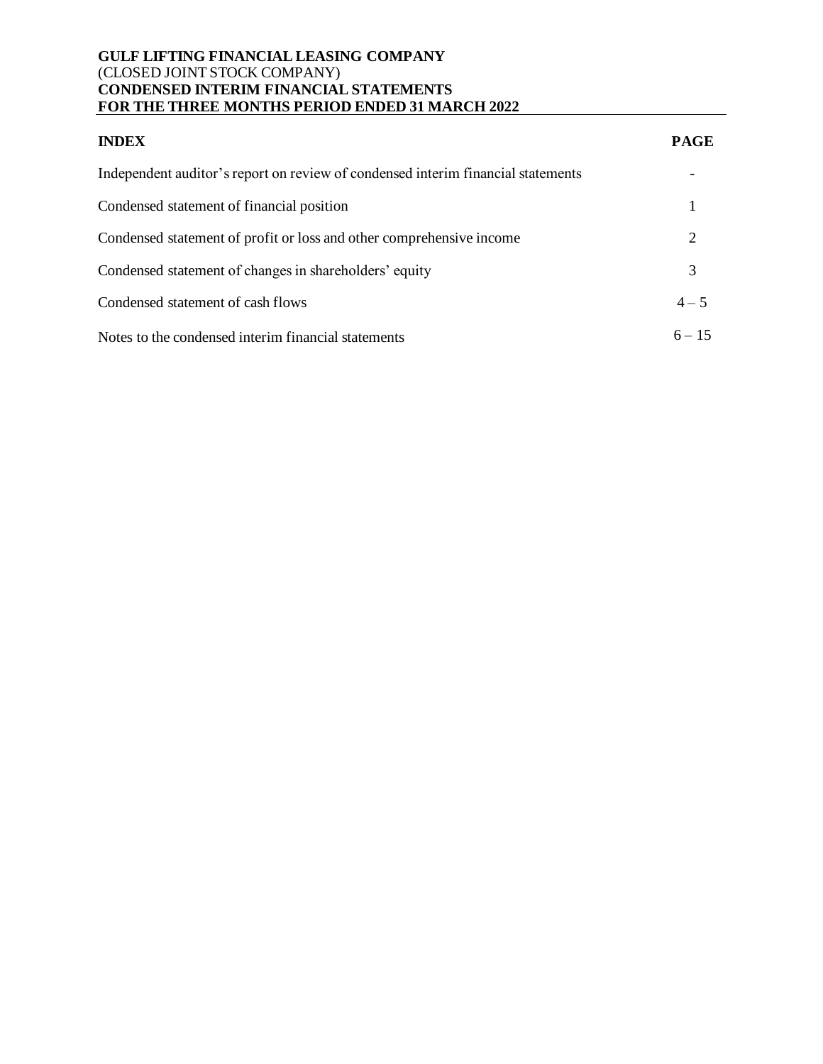#### **GULF LIFTING FINANCIAL LEASING COMPANY** (CLOSED JOINT STOCK COMPANY) **CONDENSED INTERIM FINANCIAL STATEMENTS FOR THE THREE MONTHS PERIOD ENDED 31 MARCH 2022**

| <b>INDEX</b>                                                                     | <b>PAGE</b> |
|----------------------------------------------------------------------------------|-------------|
| Independent auditor's report on review of condensed interim financial statements |             |
| Condensed statement of financial position                                        |             |
| Condensed statement of profit or loss and other comprehensive income             | 2           |
| Condensed statement of changes in shareholders' equity                           | 3           |
| Condensed statement of cash flows                                                | $4 - 5$     |
| Notes to the condensed interim financial statements                              | $6 - 15$    |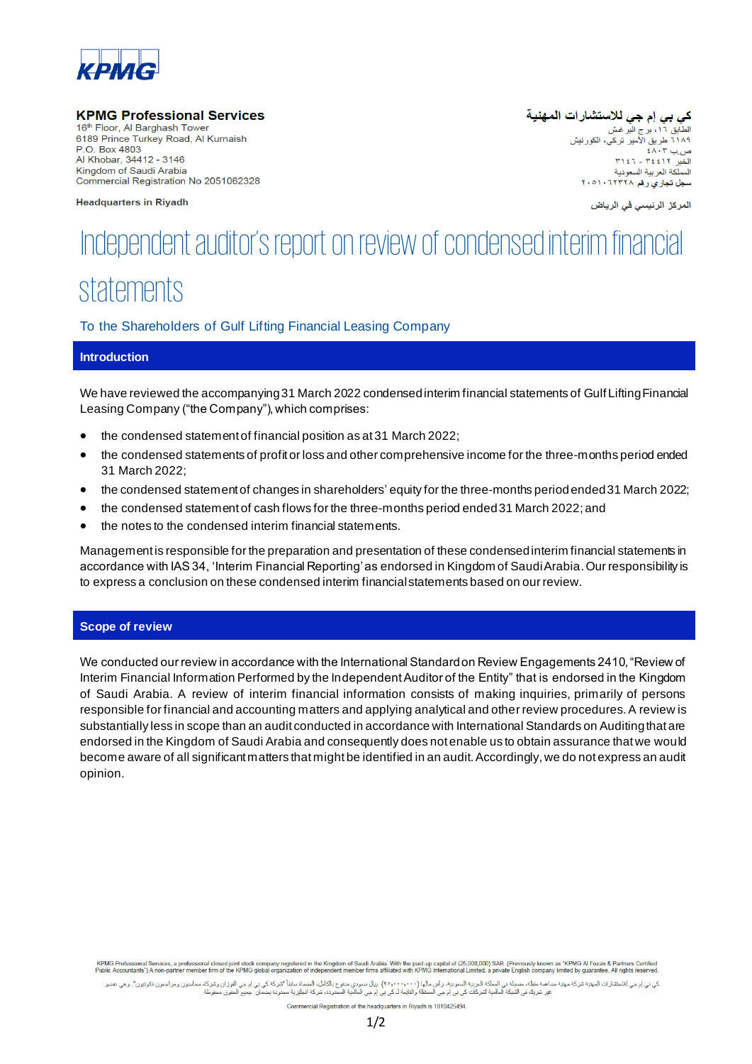

#### **KPMG Professional Services**

16th Floor, Al Barghash Tower 6189 Prince Turkey Road, Al Kurnaish P O Box 4803 Al Khobar, 34412 - 3146 Kingdom of Saudi Arabia Commercial Registration No 2051062328

**Headquarters in Riyadh** 

كي بي إم جي للاستشارات المهنية الطابق ١٦، برج البر غش<br>الطابق ١٦، برج البر غش<br>٦١٨٩ طريق الأمير تركي، الكورنيش  $E\Lambda$ .  $\mu$   $\Omega$ ل<br>الخبر ۳٤٤١٢ ـ ٣١٤٦ المملكة العربية السعودية سط تجاري رقم ۲۰۰۸۱۰٦۲۳۳۸

المركز الرئيسي في الرياض

# Independent auditor's report on review of condensed interim financial statements

#### To the Shareholders of Gulf Lifting Financial Leasing Company

# **Introduction**

We have reviewed the accompanying 31 March 2022 condensedinterim financial statements of Gulf Lifting Financial Leasing Company ("the Company"), which comprises:

- the condensed statement of financial position as at 31 March 2022;
- the condensed statements of profit or loss and other comprehensive income for the three-months period ended 31 March 2022;
- the condensed statement of changes in shareholders' equity for the three-months periodended 31 March 2022;
- the condensed statement of cash flows for the three-months period ended 31 March 2022; and
- the notes to the condensed interim financial statements.

Management is responsible for the preparation and presentation of these condensed interim financial statements in accordance with IAS 34, 'Interim Financial Reporting' as endorsed in Kingdom of Saudi Arabia. Our responsibility is to express a conclusion on these condensed interim financial statements based on our review.

#### **Scope of review**

We conducted our review in accordance with the International Standard on Review Engagements 2410, "Review of Interim Financial Information Performed by the Independent Auditor of the Entity" that is endorsed in the Kingdom of Saudi Arabia. A review of interim financial information consists of making inquiries, primarily of persons responsible for financial and accounting matters and applying analytical and other review procedures. A review is substantially less in scope than an audit conducted in accordance with International Standards on Auditing that are endorsed in the Kingdom of Saudi Arabia and consequently does not enable us to obtain assurance that we would become aware of all significant matters that might be identified in an audit. Accordingly, we do not express an audit opinion.

KPMG Professional Services, a professional closed joint stock company registered in the Kingdom of Saudi Arabia. With the paid-up capital of (25,000,000) SAR. (Previously known as "KPMG AI Fozan & Partners Certified<br>Public

کی بی ام منتشارات المبنية شرکة مينية مسامة مقطة في الملکة الريبة السرين المرسمين است المسام المسام المسامسانة استفاده الموسافي بی ام جی الفران وشرکاه محاسين و مراجعن فالوئين". وهی عنس<br>عرضوا نفس المسلم استاد المسلم المسلم

Commercial Registration of the headquarters in Rivadh is 1010425494.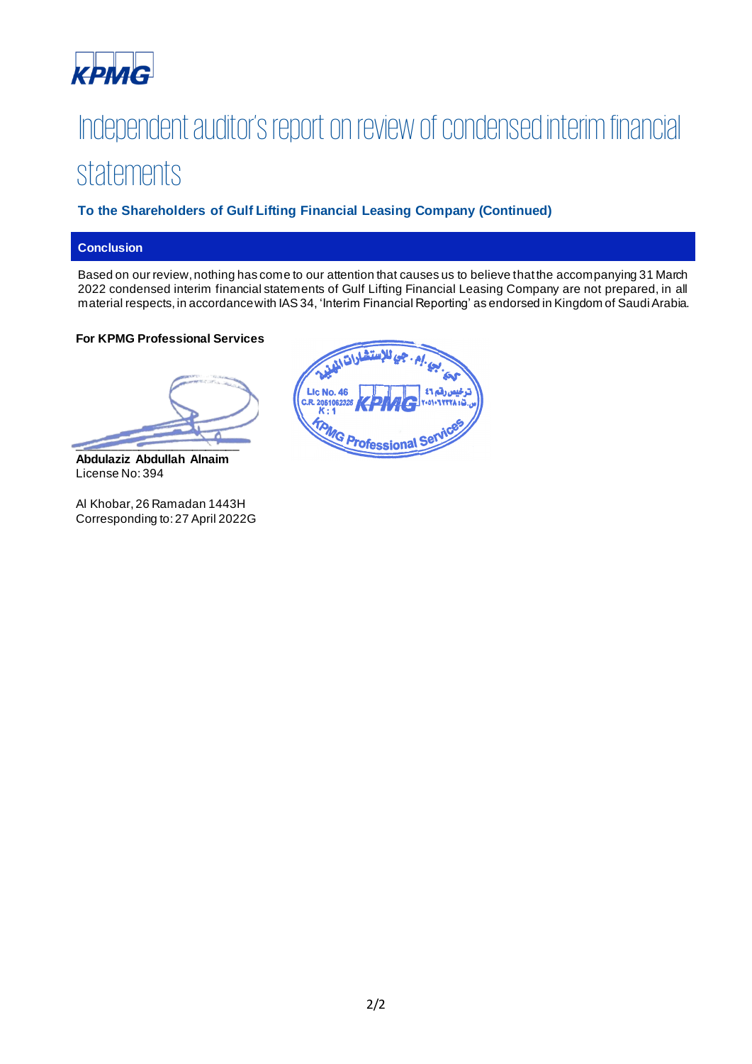

# Independent auditor's report on review of condensed interim financial statements

# **To the Shareholders of Gulf Lifting Financial Leasing Company (Continued)**

# **Conclusion**

Based on our review, nothing has come to our attention that causes us to believe that the accompanying 31 March 2022 condensed interim financial statements of Gulf Lifting Financial Leasing Company are not prepared, in all material respects, in accordance with IAS 34, 'Interim Financial Reporting' as endorsed in Kingdom of Saudi Arabia.

#### **For KPMG Professional Services**

 $\overline{\phantom{a}}$ 

**Abdulaziz Abdullah Alnaim** License No: 394

Al Khobar, 26 Ramadan 1443H Corresponding to:27 April 2022G

| مربم جي للإستشارات المدر            |
|-------------------------------------|
|                                     |
| C.R. 2051062328 KPMC Y-01-1 YTYK13. |
|                                     |
| <b>MG Professional Service</b>      |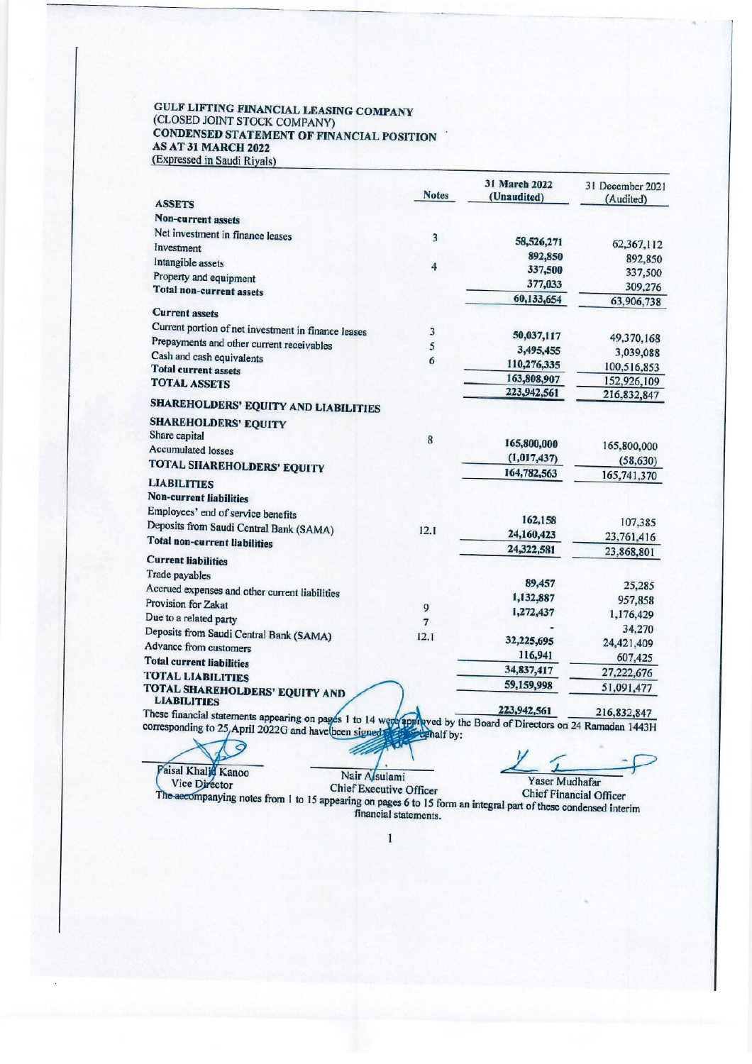#### GULF LIFTING FINANCIAL LEASING COMPANY (CLOSED JOINT STOCK COMPANY) CONDENSED STATEMENT OF FINANCIAL POSITION AS AT 31 MARCH 2022 (Expressed in Saudi Riyals)

|                                                                                                                   | <b>Notes</b>   | 31 March 2022<br>(Unaudited) | 31 December 2021<br>(Audited) |
|-------------------------------------------------------------------------------------------------------------------|----------------|------------------------------|-------------------------------|
| <b>ASSETS</b>                                                                                                     |                |                              |                               |
| <b>Non-current assets</b>                                                                                         |                |                              |                               |
| Net investment in finance leases                                                                                  | $\overline{3}$ | 58,526,271                   | 62,367,112                    |
| Investment                                                                                                        |                | 892,850                      | 892,850                       |
| Intangible assets                                                                                                 | 4              | 337,500                      | 337,500                       |
| Property and equipment                                                                                            |                | 377,033                      | 309,276                       |
| <b>Total non-current assets</b>                                                                                   |                | 60,133,654                   | 63,906,738                    |
| <b>Current assets</b>                                                                                             |                |                              |                               |
| Current portion of net investment in finance leases                                                               | 3              |                              |                               |
| Prepayments and other current receivables                                                                         | 5              | 50,037,117                   | 49,370,168                    |
| Cash and cash equivalents                                                                                         | 6              | 3,495,455                    | 3,039,088                     |
| <b>Total current assets</b>                                                                                       |                | 110,276,335                  | 100,516,853                   |
| <b>TOTAL ASSETS</b>                                                                                               |                | 163,808,907                  | 152,926,109                   |
| <b>SHAREHOLDERS' EQUITY AND LIABILITIES</b>                                                                       |                | 223,942,561                  | 216,832,847                   |
| <b>SHAREHOLDERS' EQUITY</b>                                                                                       |                |                              |                               |
| Share capital                                                                                                     | 8              |                              |                               |
| <b>Accumulated losses</b>                                                                                         |                | 165,800,000                  | 165,800,000                   |
| TOTAL SHAREHOLDERS' EQUITY                                                                                        |                | (1,017,437)                  | (58, 630)                     |
| <b>LIABILITIES</b>                                                                                                |                | 164,782,563                  | 165,741,370                   |
| <b>Non-current liabilities</b>                                                                                    |                |                              |                               |
|                                                                                                                   |                |                              |                               |
| Employees' end of service benefits                                                                                |                | 162,158                      | 107,385                       |
| Deposits from Saudi Central Bank (SAMA)                                                                           | 12.1           | 24,160,423                   | 23,761,416                    |
| <b>Total non-current liabilities</b>                                                                              |                | 24,322,581                   | 23,868,801                    |
| <b>Current liabilities</b>                                                                                        |                |                              |                               |
| Trade payables                                                                                                    |                |                              |                               |
| Accrued expenses and other current liabilities                                                                    |                | 89,457                       | 25,285                        |
| Provision for Zakat                                                                                               | 9              | 1,132,887                    | 957,858                       |
| Due to a related party                                                                                            | 7              | 1,272,437                    | 1,176,429                     |
| Deposits from Saudi Central Bank (SAMA)                                                                           | 12.1           |                              | 34,270                        |
| Advance from customers                                                                                            |                | 32,225,695                   | 24,421,409                    |
| <b>Total current liabilities</b>                                                                                  |                | 116,941                      | 607,425                       |
| <b>TOTAL LIABILITIES</b>                                                                                          |                | 34,837,417                   | 27,222,676                    |
| TOTAL SHAREHOLDERS' EQUITY AND                                                                                    |                | 59,159,998                   | 51,091,477                    |
| <b>LIABILITIES</b>                                                                                                |                |                              |                               |
| These financial statements appearing on pages 1 to 14 were approved by the Board of Directors on 24 Ramadan 1443H |                | 223,942,561                  |                               |

April 2022G and have been signed: tehalf by:  $\Theta$ 

Yaser Mudhafar

Nair Asulami

Vice Director<br>The accompanying notes from 1 to 15 appearing on pages 6 to 15 form an integral part of these condensed interim<br>mancial statements.

z

Paisal Khalid Kanoo

 $\mathbf{I}$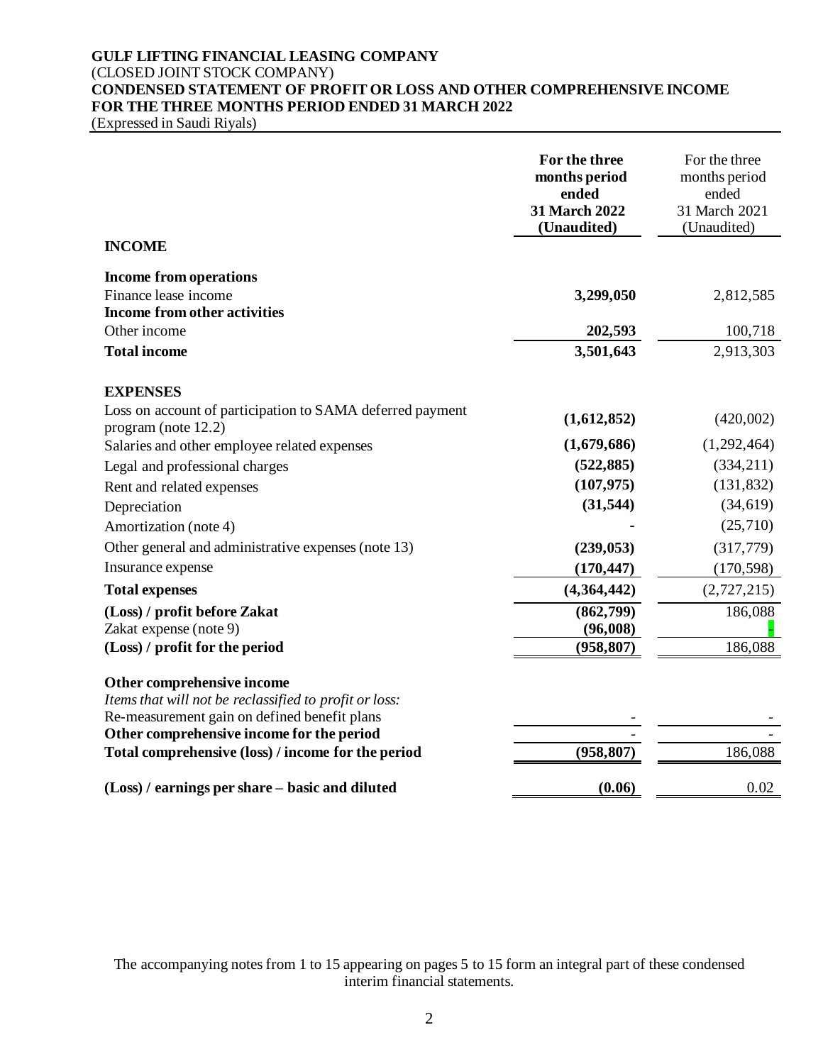# **GULF LIFTING FINANCIAL LEASING COMPANY** (CLOSED JOINT STOCK COMPANY) **CONDENSED STATEMENT OF PROFIT OR LOSS AND OTHER COMPREHENSIVE INCOME FOR THE THREE MONTHS PERIOD ENDED 31 MARCH 2022**

(Expressed in Saudi Riyals)

|                                                                                                                                      | For the three<br>months period<br>ended<br>31 March 2022<br>(Unaudited) | For the three<br>months period<br>ended<br>31 March 2021<br>(Unaudited) |
|--------------------------------------------------------------------------------------------------------------------------------------|-------------------------------------------------------------------------|-------------------------------------------------------------------------|
| <b>INCOME</b>                                                                                                                        |                                                                         |                                                                         |
| <b>Income from operations</b>                                                                                                        |                                                                         |                                                                         |
| Finance lease income                                                                                                                 | 3,299,050                                                               | 2,812,585                                                               |
| Income from other activities                                                                                                         |                                                                         |                                                                         |
| Other income                                                                                                                         | 202,593                                                                 | 100,718                                                                 |
| <b>Total income</b>                                                                                                                  | 3,501,643                                                               | 2,913,303                                                               |
| <b>EXPENSES</b>                                                                                                                      |                                                                         |                                                                         |
| Loss on account of participation to SAMA deferred payment<br>program (note 12.2)                                                     | (1,612,852)                                                             | (420,002)                                                               |
| Salaries and other employee related expenses                                                                                         | (1,679,686)                                                             | (1,292,464)                                                             |
| Legal and professional charges                                                                                                       | (522, 885)                                                              | (334,211)                                                               |
| Rent and related expenses                                                                                                            | (107, 975)                                                              | (131, 832)                                                              |
| Depreciation                                                                                                                         | (31, 544)                                                               | (34, 619)                                                               |
| Amortization (note 4)                                                                                                                |                                                                         | (25,710)                                                                |
| Other general and administrative expenses (note 13)                                                                                  | (239, 053)                                                              | (317,779)                                                               |
| Insurance expense                                                                                                                    | (170, 447)                                                              | (170, 598)                                                              |
| <b>Total expenses</b>                                                                                                                | (4,364,442)                                                             | (2,727,215)                                                             |
| (Loss) / profit before Zakat                                                                                                         | (862,799)                                                               | 186,088                                                                 |
| Zakat expense (note 9)                                                                                                               | (96,008)                                                                |                                                                         |
| (Loss) / profit for the period                                                                                                       | (958, 807)                                                              | 186,088                                                                 |
| Other comprehensive income<br>Items that will not be reclassified to profit or loss:<br>Re-measurement gain on defined benefit plans |                                                                         |                                                                         |
| Other comprehensive income for the period                                                                                            |                                                                         |                                                                         |
| Total comprehensive (loss) / income for the period                                                                                   | (958, 807)                                                              | 186,088                                                                 |
| (Loss) / earnings per share – basic and diluted                                                                                      | (0.06)                                                                  | 0.02                                                                    |

The accompanying notes from 1 to 15 appearing on pages 5 to 15 form an integral part of these condensed interim financial statements.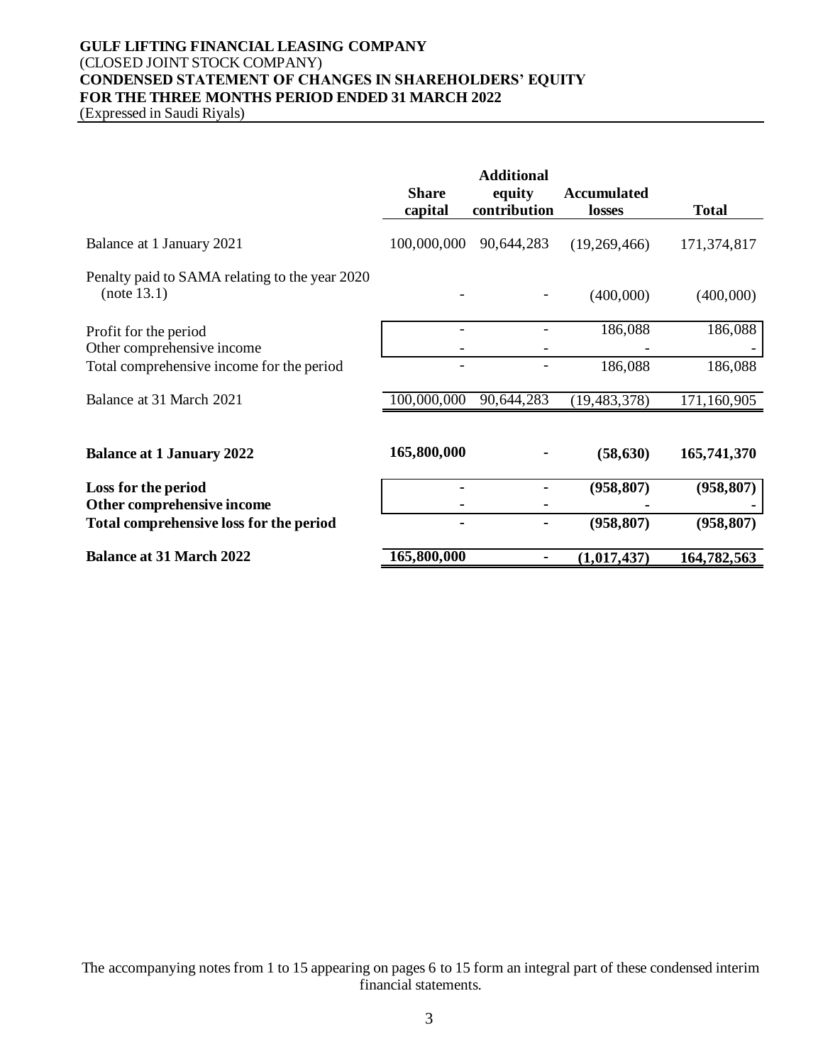# **GULF LIFTING FINANCIAL LEASING COMPANY** (CLOSED JOINT STOCK COMPANY) **CONDENSED STATEMENT OF CHANGES IN SHAREHOLDERS' EQUITY FOR THE THREE MONTHS PERIOD ENDED 31 MARCH 2022**

(Expressed in Saudi Riyals)

|                                                                       | <b>Share</b><br>capital | <b>Additional</b><br>equity<br>contribution | <b>Accumulated</b><br>losses | <b>Total</b> |
|-----------------------------------------------------------------------|-------------------------|---------------------------------------------|------------------------------|--------------|
| Balance at 1 January 2021                                             | 100,000,000             | 90,644,283                                  | (19,269,466)                 | 171,374,817  |
| Penalty paid to SAMA relating to the year 2020<br>(note 13.1)         |                         |                                             | (400,000)                    | (400,000)    |
| Profit for the period<br>Other comprehensive income                   |                         |                                             | 186,088                      | 186,088      |
| Total comprehensive income for the period                             |                         |                                             | 186,088                      | 186,088      |
| Balance at 31 March 2021                                              | 100,000,000             | 90,644,283                                  | (19, 483, 378)               | 171,160,905  |
| <b>Balance at 1 January 2022</b>                                      | 165,800,000             |                                             | (58, 630)                    | 165,741,370  |
| Loss for the period                                                   |                         |                                             | (958, 807)                   | (958, 807)   |
| Other comprehensive income<br>Total comprehensive loss for the period |                         |                                             | (958, 807)                   | (958, 807)   |
| <b>Balance at 31 March 2022</b>                                       | 165,800,000             |                                             | (1,017,437)                  | 164,782,563  |

The accompanying notes from 1 to 15 appearing on pages 6 to 15 form an integral part of these condensed interim financial statements.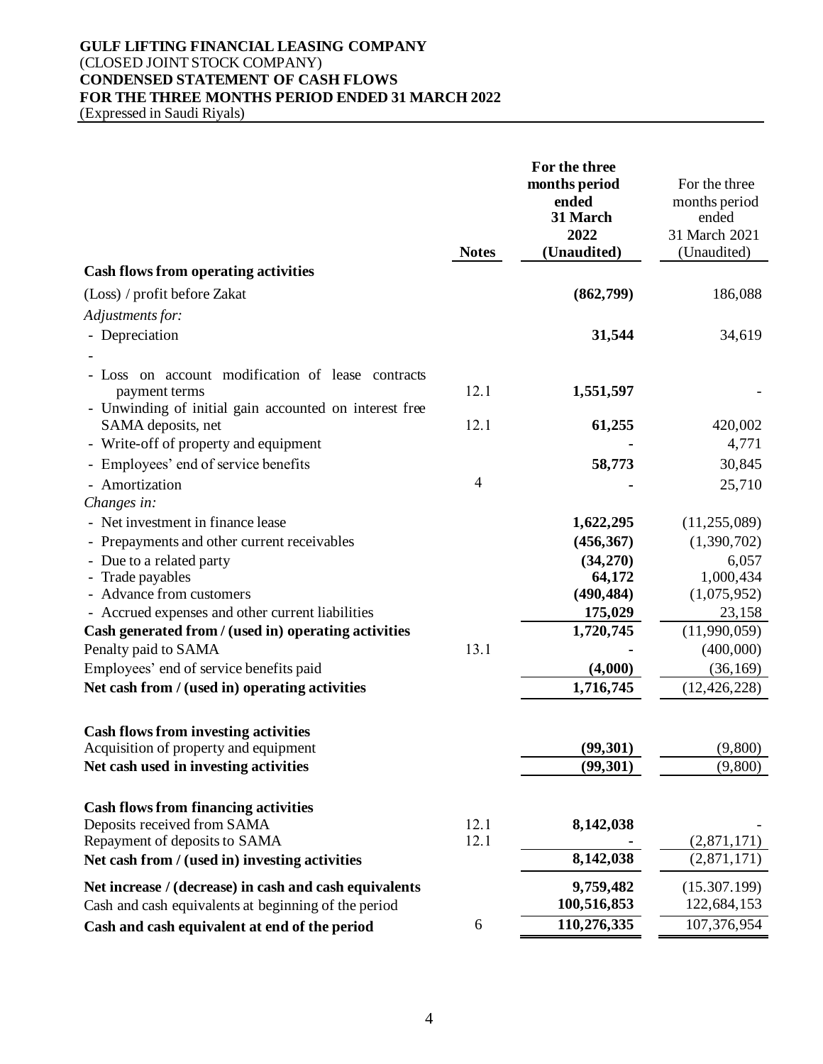# **GULF LIFTING FINANCIAL LEASING COMPANY** (CLOSED JOINT STOCK COMPANY) **CONDENSED STATEMENT OF CASH FLOWS FOR THE THREE MONTHS PERIOD ENDED 31 MARCH 2022**

(Expressed in Saudi Riyals)

|                                                                              | <b>Notes</b> | For the three<br>months period<br>ended<br>31 March<br>2022<br>(Unaudited) | For the three<br>months period<br>ended<br>31 March 2021<br>(Unaudited) |
|------------------------------------------------------------------------------|--------------|----------------------------------------------------------------------------|-------------------------------------------------------------------------|
| <b>Cash flows from operating activities</b>                                  |              |                                                                            |                                                                         |
| (Loss) / profit before Zakat                                                 |              | (862,799)                                                                  | 186,088                                                                 |
| Adjustments for:                                                             |              |                                                                            |                                                                         |
| - Depreciation                                                               |              | 31,544                                                                     | 34,619                                                                  |
|                                                                              |              |                                                                            |                                                                         |
| - Loss on account modification of lease contracts<br>payment terms           | 12.1         | 1,551,597                                                                  |                                                                         |
| - Unwinding of initial gain accounted on interest free<br>SAMA deposits, net | 12.1         | 61,255                                                                     | 420,002                                                                 |
| - Write-off of property and equipment                                        |              |                                                                            | 4,771                                                                   |
| - Employees' end of service benefits                                         |              | 58,773                                                                     | 30,845                                                                  |
| - Amortization                                                               | 4            |                                                                            | 25,710                                                                  |
| Changes in:                                                                  |              |                                                                            |                                                                         |
| - Net investment in finance lease                                            |              | 1,622,295                                                                  | (11, 255, 089)                                                          |
| - Prepayments and other current receivables                                  |              | (456, 367)                                                                 | (1,390,702)                                                             |
| - Due to a related party                                                     |              | (34,270)                                                                   | 6,057                                                                   |
| - Trade payables                                                             |              | 64,172                                                                     | 1,000,434                                                               |
| - Advance from customers                                                     |              | (490, 484)                                                                 | (1,075,952)                                                             |
| - Accrued expenses and other current liabilities                             |              | 175,029                                                                    | 23,158                                                                  |
| Cash generated from / (used in) operating activities                         |              | 1,720,745                                                                  | (11,990,059)                                                            |
| Penalty paid to SAMA                                                         | 13.1         |                                                                            | (400,000)                                                               |
| Employees' end of service benefits paid                                      |              | (4,000)                                                                    | (36, 169)                                                               |
| Net cash from / (used in) operating activities                               |              | 1,716,745                                                                  | (12, 426, 228)                                                          |
| <b>Cash flows from investing activities</b>                                  |              |                                                                            |                                                                         |
| Acquisition of property and equipment                                        |              | (99, 301)                                                                  | (9,800)                                                                 |
| Net cash used in investing activities                                        |              | (99, 301)                                                                  | (9,800)                                                                 |
| <b>Cash flows from financing activities</b>                                  |              |                                                                            |                                                                         |
| Deposits received from SAMA                                                  | 12.1         | 8,142,038                                                                  |                                                                         |
| Repayment of deposits to SAMA                                                | 12.1         |                                                                            | (2,871,171)                                                             |
| Net cash from / (used in) investing activities                               |              | 8,142,038                                                                  | (2,871,171)                                                             |
| Net increase / (decrease) in cash and cash equivalents                       |              | 9,759,482                                                                  | (15.307.199)                                                            |
| Cash and cash equivalents at beginning of the period                         |              | 100,516,853                                                                | 122,684,153                                                             |
| Cash and cash equivalent at end of the period                                | 6            | 110,276,335                                                                | 107,376,954                                                             |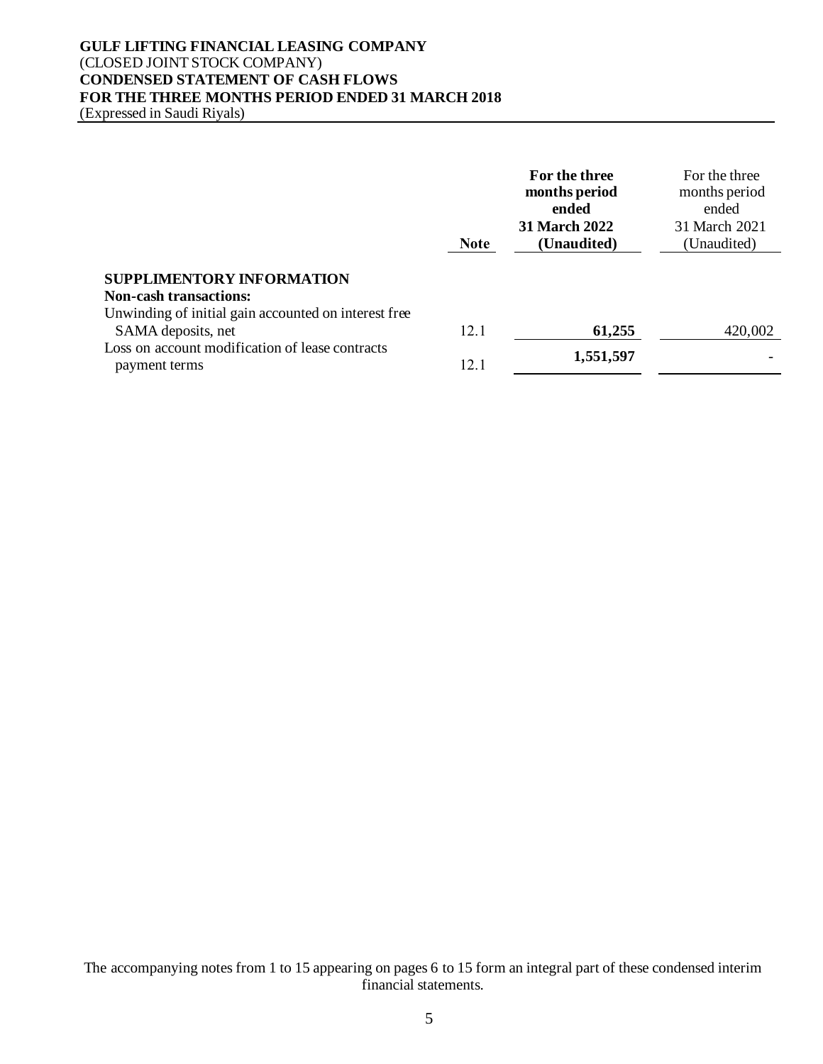#### **GULF LIFTING FINANCIAL LEASING COMPANY** (CLOSED JOINT STOCK COMPANY) **CONDENSED STATEMENT OF CASH FLOWS FOR THE THREE MONTHS PERIOD ENDED 31 MARCH 2018** (Expressed in Saudi Riyals)

**Note For the three months period ended 31 March 2022 (Unaudited)** For the three months period ended 31 March 2021 (Unaudited) **SUPPLIMENTORY INFORMATION Non-cash transactions:** Unwinding of initial gain accounted on interest free SAMA deposits, net 12.1 **61,255** 420,002 Loss on account modification of lease contracts payment terms 12.1 **1,551,597** -

The accompanying notes from 1 to 15 appearing on pages 6 to 15 form an integral part of these condensed interim financial statements.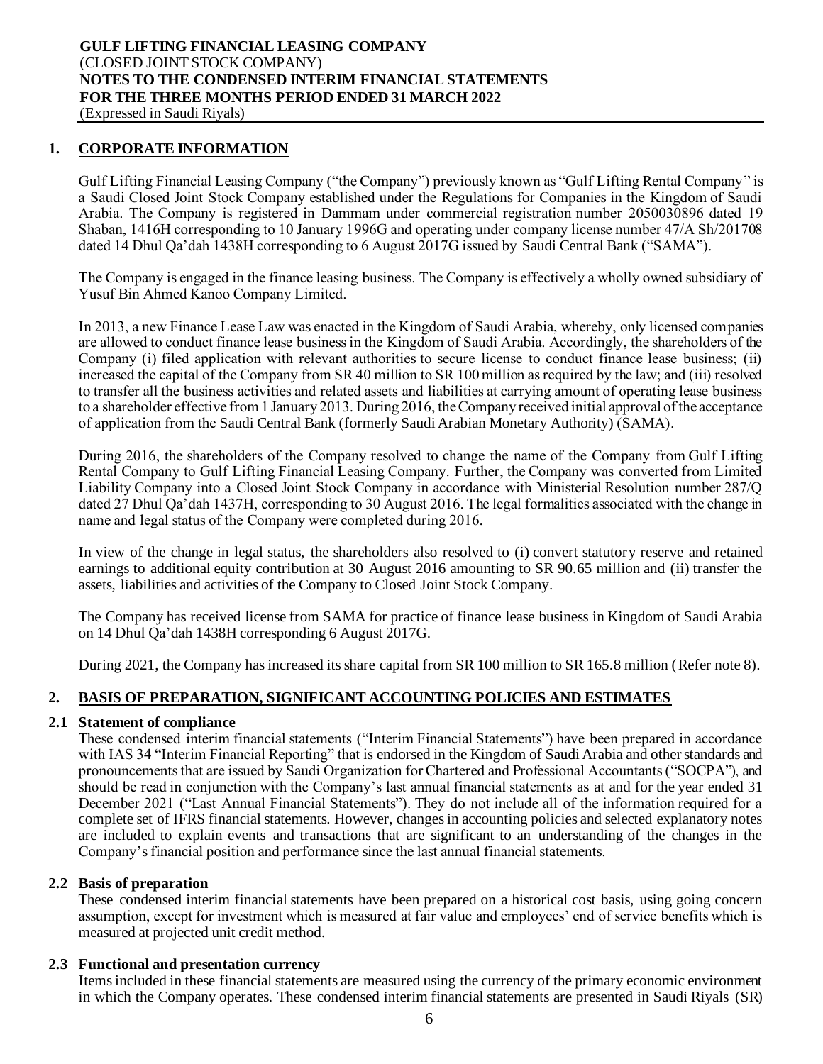#### **1. CORPORATE INFORMATION**

Gulf Lifting Financial Leasing Company ("the Company") previously known as "Gulf Lifting Rental Company" is a Saudi Closed Joint Stock Company established under the Regulations for Companies in the Kingdom of Saudi Arabia. The Company is registered in Dammam under commercial registration number 2050030896 dated 19 Shaban, 1416H corresponding to 10 January 1996G and operating under company license number 47/A Sh/201708 dated 14 Dhul Qa'dah 1438H corresponding to 6 August 2017G issued by Saudi Central Bank ("SAMA").

The Company is engaged in the finance leasing business. The Company is effectively a wholly owned subsidiary of Yusuf Bin Ahmed Kanoo Company Limited.

In 2013, a new Finance Lease Law was enacted in the Kingdom of Saudi Arabia, whereby, only licensed companies are allowed to conduct finance lease business in the Kingdom of Saudi Arabia. Accordingly, the shareholders of the Company (i) filed application with relevant authorities to secure license to conduct finance lease business; (ii) increased the capital of the Company from SR 40 million to SR 100 million as required by the law; and (iii) resolved to transfer all the business activities and related assets and liabilities at carrying amount of operating lease business to a shareholder effective from 1 January 2013. During 2016, the Company received initial approval of the acceptance of application from the Saudi Central Bank (formerly Saudi Arabian Monetary Authority) (SAMA).

During 2016, the shareholders of the Company resolved to change the name of the Company from Gulf Lifting Rental Company to Gulf Lifting Financial Leasing Company. Further, the Company was converted from Limited Liability Company into a Closed Joint Stock Company in accordance with Ministerial Resolution number 287/Q dated 27 Dhul Qa'dah 1437H, corresponding to 30 August 2016. The legal formalities associated with the change in name and legal status of the Company were completed during 2016.

In view of the change in legal status, the shareholders also resolved to (i) convert statutory reserve and retained earnings to additional equity contribution at 30 August 2016 amounting to SR 90.65 million and (ii) transfer the assets, liabilities and activities of the Company to Closed Joint Stock Company.

The Company has received license from SAMA for practice of finance lease business in Kingdom of Saudi Arabia on 14 Dhul Qa'dah 1438H corresponding 6 August 2017G.

During 2021, the Company has increased its share capital from SR 100 million to SR 165.8 million (Refer note 8).

# **2. BASIS OF PREPARATION, SIGNIFICANT ACCOUNTING POLICIES AND ESTIMATES**

#### **2.1 Statement of compliance**

These condensed interim financial statements ("Interim Financial Statements") have been prepared in accordance with IAS 34 "Interim Financial Reporting" that is endorsed in the Kingdom of Saudi Arabia and other standards and pronouncements that are issued by Saudi Organization for Chartered and Professional Accountants ("SOCPA"), and should be read in conjunction with the Company's last annual financial statements as at and for the year ended 31 December 2021 ("Last Annual Financial Statements"). They do not include all of the information required for a complete set of IFRS financial statements. However, changes in accounting policies and selected explanatory notes are included to explain events and transactions that are significant to an understanding of the changes in the Company's financial position and performance since the last annual financial statements.

#### **2.2 Basis of preparation**

These condensed interim financial statements have been prepared on a historical cost basis, using going concern assumption, except for investment which is measured at fair value and employees' end of service benefits which is measured at projected unit credit method.

#### **2.3 Functional and presentation currency**

Items included in these financial statements are measured using the currency of the primary economic environment in which the Company operates. These condensed interim financial statements are presented in Saudi Riyals (SR)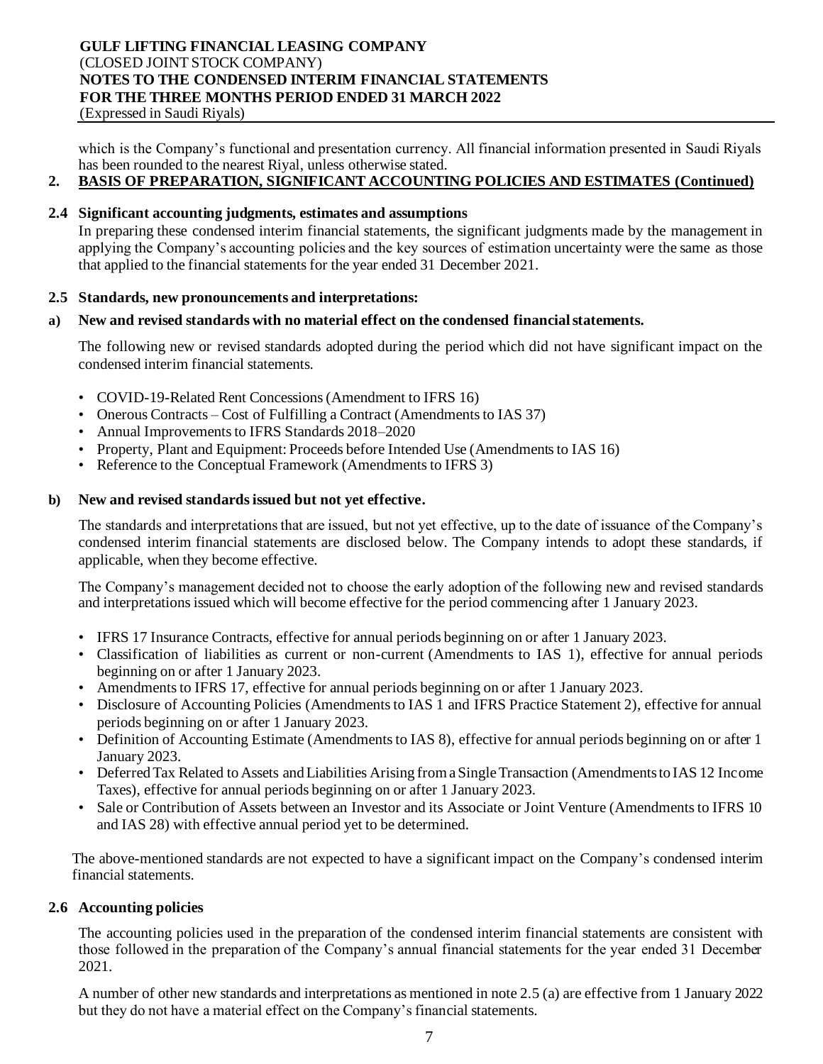which is the Company's functional and presentation currency. All financial information presented in Saudi Riyals has been rounded to the nearest Riyal, unless otherwise stated.

# **2. BASIS OF PREPARATION, SIGNIFICANT ACCOUNTING POLICIES AND ESTIMATES (Continued)**

# **2.4 Significant accounting judgments, estimates and assumptions**

In preparing these condensed interim financial statements, the significant judgments made by the management in applying the Company's accounting policies and the key sources of estimation uncertainty were the same as those that applied to the financial statements for the year ended 31 December 2021.

#### **2.5 Standards, new pronouncements and interpretations:**

#### **a) New and revised standards with no material effect on the condensed financial statements.**

The following new or revised standards adopted during the period which did not have significant impact on the condensed interim financial statements.

- COVID-19-Related Rent Concessions (Amendment to IFRS 16)
- Onerous Contracts Cost of Fulfilling a Contract (Amendments to IAS 37)
- Annual Improvements to IFRS Standards 2018–2020
- Property, Plant and Equipment: Proceeds before Intended Use (Amendments to IAS 16)
- Reference to the Conceptual Framework (Amendments to IFRS 3)

#### **b) New and revised standards issued but not yet effective.**

The standards and interpretations that are issued, but not yet effective, up to the date of issuance of the Company's condensed interim financial statements are disclosed below. The Company intends to adopt these standards, if applicable, when they become effective.

The Company's management decided not to choose the early adoption of the following new and revised standards and interpretations issued which will become effective for the period commencing after 1 January 2023.

- IFRS 17 Insurance Contracts, effective for annual periods beginning on or after 1 January 2023.
- Classification of liabilities as current or non-current (Amendments to IAS 1), effective for annual periods beginning on or after 1 January 2023.
- Amendments to IFRS 17, effective for annual periods beginning on or after 1 January 2023.
- Disclosure of Accounting Policies (Amendments to IAS 1 and IFRS Practice Statement 2), effective for annual periods beginning on or after 1 January 2023.
- Definition of Accounting Estimate (Amendments to IAS 8), effective for annual periods beginning on or after 1 January 2023.
- Deferred Tax Related to Assets and Liabilities Arising from a Single Transaction (Amendments to IAS 12 Income Taxes), effective for annual periods beginning on or after 1 January 2023.
- Sale or Contribution of Assets between an Investor and its Associate or Joint Venture (Amendments to IFRS 10 and IAS 28) with effective annual period yet to be determined.

The above-mentioned standards are not expected to have a significant impact on the Company's condensed interim financial statements.

#### **2.6 Accounting policies**

The accounting policies used in the preparation of the condensed interim financial statements are consistent with those followed in the preparation of the Company's annual financial statements for the year ended 31 December 2021.

A number of other new standards and interpretations as mentioned in note 2.5 (a) are effective from 1 January 2022 but they do not have a material effect on the Company's financial statements.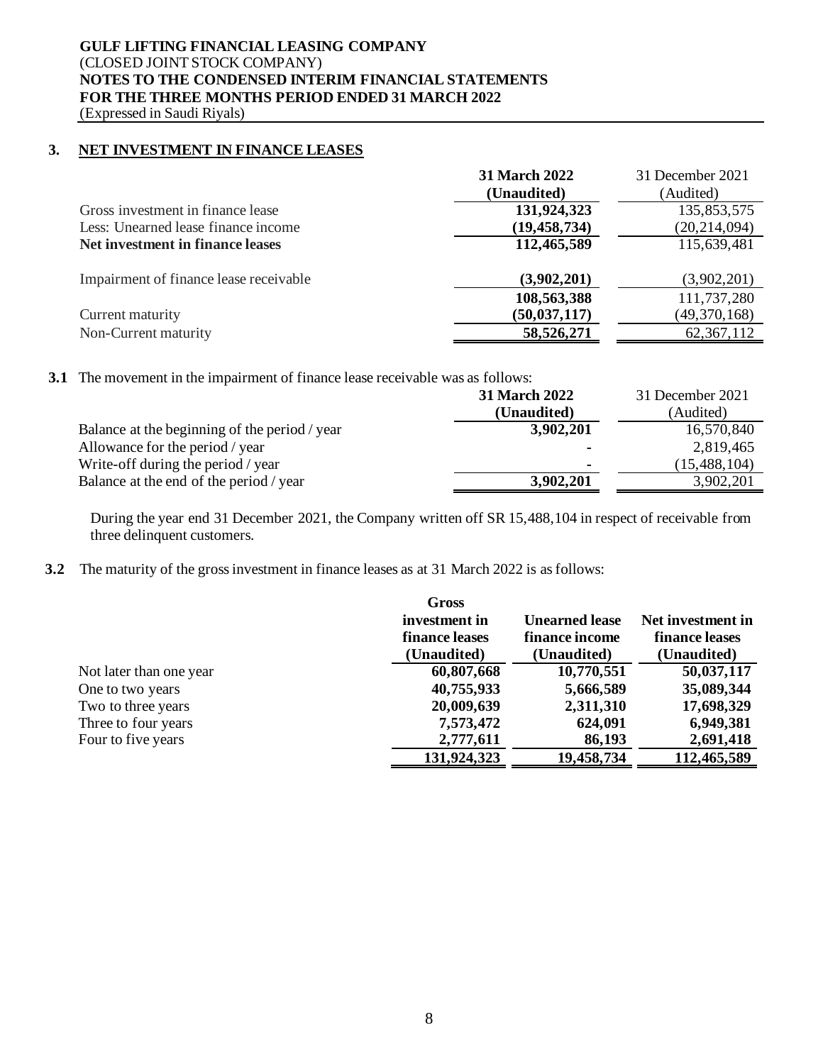# **GULF LIFTING FINANCIAL LEASING COMPANY** (CLOSED JOINT STOCK COMPANY) **NOTES TO THE CONDENSED INTERIM FINANCIAL STATEMENTS FOR THE THREE MONTHS PERIOD ENDED 31 MARCH 2022**

(Expressed in Saudi Riyals)

#### **3. NET INVESTMENT IN FINANCE LEASES**

|                                        | <b>31 March 2022</b><br>(Unaudited) | 31 December 2021<br>(Audited) |
|----------------------------------------|-------------------------------------|-------------------------------|
| Gross investment in finance lease      | 131,924,323                         | 135,853,575                   |
| Less: Unearned lease finance income    | (19, 458, 734)                      | (20, 214, 094)                |
| Net investment in finance leases       | 112,465,589                         | 115,639,481                   |
| Impairment of finance lease receivable | (3,902,201)                         | (3,902,201)                   |
|                                        | 108,563,388                         | 111,737,280                   |
| Current maturity                       | (50, 037, 117)                      | (49,370,168)                  |
| Non-Current maturity                   | 58,526,271                          | 62, 367, 112                  |

#### **3.1** The movement in the impairment of finance lease receivable was as follows:

|                                               | <b>31 March 2022</b> | 31 December 2021 |
|-----------------------------------------------|----------------------|------------------|
|                                               | (Unaudited)          | (Audited)        |
| Balance at the beginning of the period / year | 3,902,201            | 16,570,840       |
| Allowance for the period / year               |                      | 2,819,465        |
| Write-off during the period / year            |                      | (15, 488, 104)   |
| Balance at the end of the period / year       | 3,902,201            | 3,902,201        |

During the year end 31 December 2021, the Company written off SR 15,488,104 in respect of receivable from three delinquent customers.

# **3.2** The maturity of the gross investment in finance leases as at 31 March 2022 is as follows:

|                         | <b>Gross</b>   |                       |                   |
|-------------------------|----------------|-----------------------|-------------------|
|                         | investment in  | <b>Unearned lease</b> | Net investment in |
|                         | finance leases | finance income        | finance leases    |
|                         | (Unaudited)    | (Unaudited)           | (Unaudited)       |
| Not later than one year | 60,807,668     | 10,770,551            | 50,037,117        |
| One to two years        | 40,755,933     | 5,666,589             | 35,089,344        |
| Two to three years      | 20,009,639     | 2,311,310             | 17,698,329        |
| Three to four years     | 7,573,472      | 624,091               | 6,949,381         |
| Four to five years      | 2,777,611      | 86,193                | 2,691,418         |
|                         | 131,924,323    | 19,458,734            | 112,465,589       |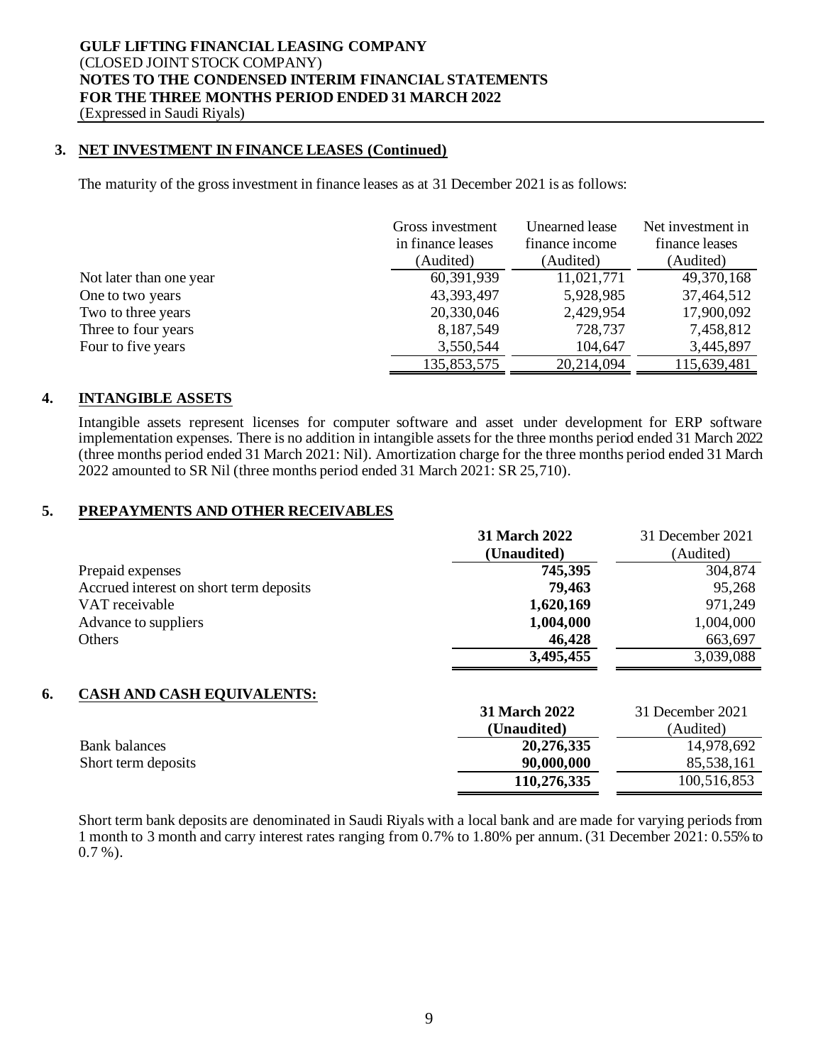#### **3. NET INVESTMENT IN FINANCE LEASES (Continued)**

The maturity of the gross investment in finance leases as at 31 December 2021 is as follows:

|                         | Gross investment  | <b>Unearned</b> lease | Net investment in |
|-------------------------|-------------------|-----------------------|-------------------|
|                         | in finance leases | finance income        | finance leases    |
|                         | (Audited)         | (Audited)             | (Audited)         |
| Not later than one year | 60,391,939        | 11,021,771            | 49,370,168        |
| One to two years        | 43,393,497        | 5,928,985             | 37,464,512        |
| Two to three years      | 20,330,046        | 2,429,954             | 17,900,092        |
| Three to four years     | 8,187,549         | 728,737               | 7,458,812         |
| Four to five years      | 3,550,544         | 104,647               | 3,445,897         |
|                         | 135,853,575       | 20,214,094            | 115,639,481       |

#### **4. INTANGIBLE ASSETS**

Intangible assets represent licenses for computer software and asset under development for ERP software implementation expenses. There is no addition in intangible assetsfor the three months period ended 31 March 2022 (three months period ended 31 March 2021: Nil). Amortization charge for the three months period ended 31 March 2022 amounted to SR Nil (three months period ended 31 March 2021: SR 25,710).

#### **5. PREPAYMENTS AND OTHER RECEIVABLES**

|                                         | <b>31 March 2022</b> | 31 December 2021 |
|-----------------------------------------|----------------------|------------------|
|                                         | (Unaudited)          | (Audited)        |
| Prepaid expenses                        | 745,395              | 304,874          |
| Accrued interest on short term deposits | 79,463               | 95,268           |
| VAT receivable                          | 1,620,169            | 971,249          |
| Advance to suppliers                    | 1,004,000            | 1,004,000        |
| <b>Others</b>                           | 46,428               | 663,697          |
|                                         | 3,495,455            | 3,039,088        |
| 6.<br><b>CASH AND CASH EQUIVALENTS:</b> |                      |                  |
|                                         | <b>31 March 2022</b> | 31 December 2021 |
|                                         | (Unaudited)          | (Audited)        |
| <b>Bank</b> balances                    | 20,276,335           | 14,978,692       |
| Short term deposits                     | 90,000,000           | 85,538,161       |
|                                         | 110,276,335          | 100,516,853      |

Short term bank deposits are denominated in Saudi Riyals with a local bank and are made for varying periods from 1 month to 3 month and carry interest rates ranging from 0.7% to 1.80% per annum. (31 December 2021: 0.55% to  $0.7\%$ ).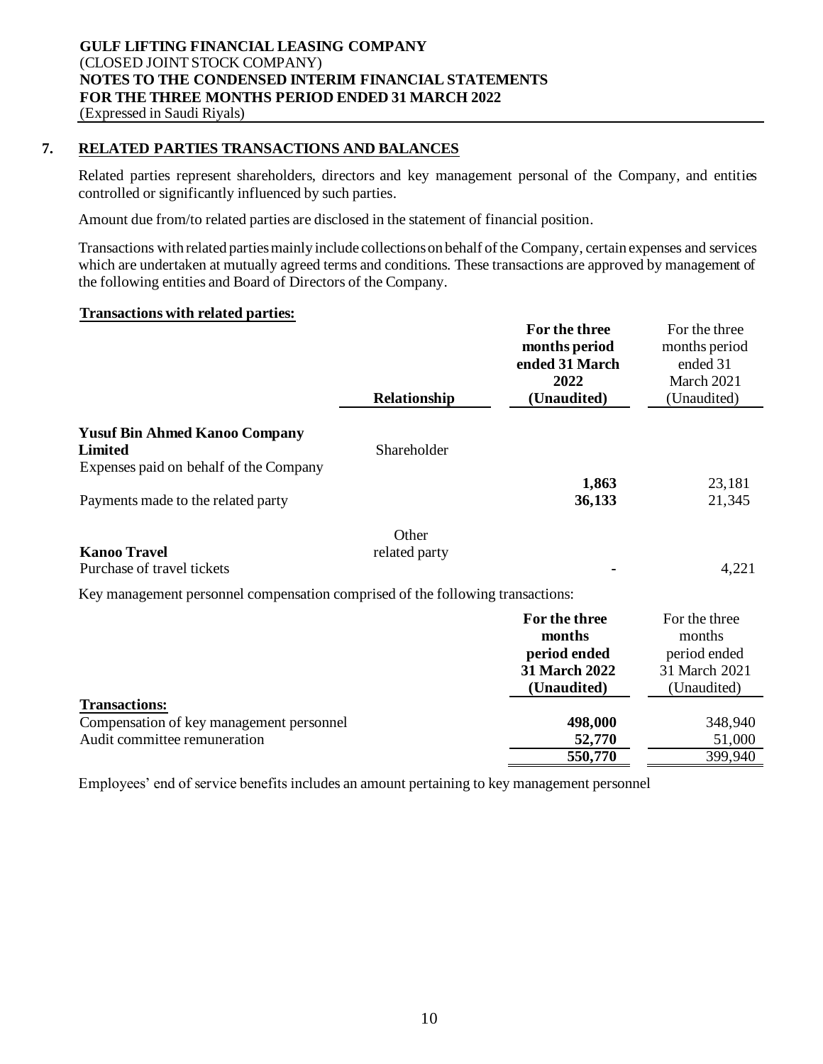# **7. RELATED PARTIES TRANSACTIONS AND BALANCES**

Related parties represent shareholders, directors and key management personal of the Company, and entities controlled or significantly influenced by such parties.

Amount due from/to related parties are disclosed in the statement of financial position.

Transactions with related parties mainly include collections on behalf of the Company, certain expenses and services which are undertaken at mutually agreed terms and conditions. These transactions are approved by management of the following entities and Board of Directors of the Company.

#### **Transactions with related parties:**

|                                                                                | Relationship  | For the three<br>months period<br>ended 31 March<br>2022<br>(Unaudited) | For the three<br>months period<br>ended 31<br>March 2021<br>(Unaudited) |
|--------------------------------------------------------------------------------|---------------|-------------------------------------------------------------------------|-------------------------------------------------------------------------|
| <b>Yusuf Bin Ahmed Kanoo Company</b>                                           |               |                                                                         |                                                                         |
| <b>Limited</b>                                                                 | Shareholder   |                                                                         |                                                                         |
| Expenses paid on behalf of the Company                                         |               |                                                                         |                                                                         |
|                                                                                |               | 1,863                                                                   | 23,181                                                                  |
| Payments made to the related party                                             |               | 36,133                                                                  | 21,345                                                                  |
|                                                                                | Other         |                                                                         |                                                                         |
| <b>Kanoo Travel</b>                                                            | related party |                                                                         |                                                                         |
| Purchase of travel tickets                                                     |               |                                                                         | 4,221                                                                   |
| Key management personnel compensation comprised of the following transactions: |               |                                                                         |                                                                         |
|                                                                                |               | For the three                                                           | For the three                                                           |
|                                                                                |               | months                                                                  | months                                                                  |
|                                                                                |               | period ended                                                            | period ended                                                            |
|                                                                                |               | <b>31 March 2022</b>                                                    | 31 March 2021                                                           |
|                                                                                |               | (Unaudited)                                                             | (Unaudited)                                                             |
| <b>Transactions:</b>                                                           |               |                                                                         |                                                                         |
| Compensation of key management personnel                                       |               | 498,000                                                                 | 348,940                                                                 |
| Audit committee remuneration                                                   |               | 52,770<br>550,770                                                       | 51,000                                                                  |
|                                                                                |               |                                                                         | 399,940                                                                 |

Employees' end of service benefits includes an amount pertaining to key management personnel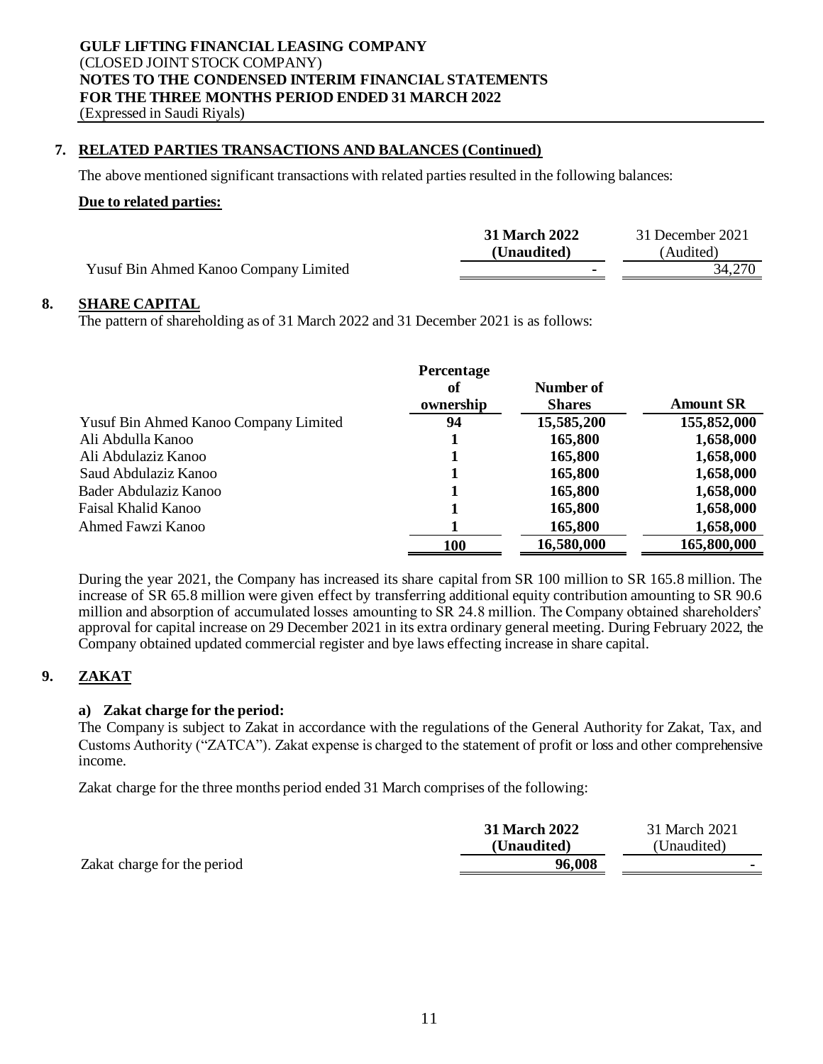# **7. RELATED PARTIES TRANSACTIONS AND BALANCES (Continued)**

The above mentioned significant transactions with related parties resulted in the following balances:

#### **Due to related parties:**

|                                       | <b>31 March 2022</b><br>(Unaudited) | 31 December 2021<br>Audited) |
|---------------------------------------|-------------------------------------|------------------------------|
| Yusuf Bin Ahmed Kanoo Company Limited | ٠                                   | 34,270                       |

# **8. SHARE CAPITAL**

The pattern of shareholding as of 31 March 2022 and 31 December 2021 is as follows:

|                                       | <b>Percentage</b> |               |                  |
|---------------------------------------|-------------------|---------------|------------------|
|                                       | оf                | Number of     |                  |
|                                       | ownership         | <b>Shares</b> | <b>Amount SR</b> |
| Yusuf Bin Ahmed Kanoo Company Limited | 94                | 15,585,200    | 155,852,000      |
| Ali Abdulla Kanoo                     |                   | 165,800       | 1,658,000        |
| Ali Abdulaziz Kanoo                   |                   | 165,800       | 1,658,000        |
| Saud Abdulaziz Kanoo                  |                   | 165,800       | 1,658,000        |
| Bader Abdulaziz Kanoo                 |                   | 165,800       | 1,658,000        |
| Faisal Khalid Kanoo                   |                   | 165,800       | 1,658,000        |
| Ahmed Fawzi Kanoo                     |                   | 165,800       | 1,658,000        |
|                                       | <b>100</b>        | 16,580,000    | 165,800,000      |

During the year 2021, the Company has increased its share capital from SR 100 million to SR 165.8 million. The increase of SR 65.8 million were given effect by transferring additional equity contribution amounting to SR 90.6 million and absorption of accumulated losses amounting to SR 24.8 million. The Company obtained shareholders' approval for capital increase on 29 December 2021 in its extra ordinary general meeting. During February 2022, the Company obtained updated commercial register and bye laws effecting increase in share capital.

# **9. ZAKAT**

#### **a) Zakat charge for the period:**

The Company is subject to Zakat in accordance with the regulations of the General Authority for Zakat, Tax, and Customs Authority ("ZATCA"). Zakat expense is charged to the statement of profit or loss and other comprehensive income.

Zakat charge for the three months period ended 31 March comprises of the following:

|                             | 31 March 2022<br>(Unaudited) | 31 March 2021<br>(Unaudited) |
|-----------------------------|------------------------------|------------------------------|
| Zakat charge for the period | 96,008                       |                              |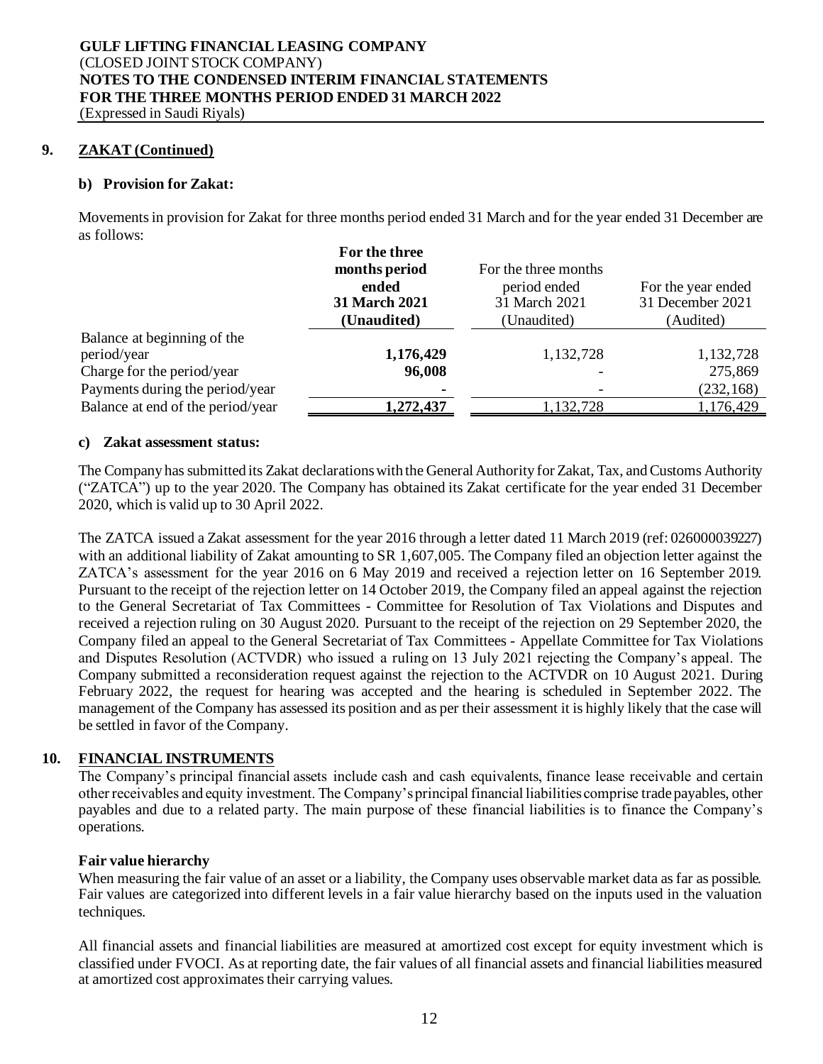#### **9. ZAKAT (Continued)**

#### **b) Provision for Zakat:**

Movementsin provision for Zakat for three months period ended 31 March and for the year ended 31 December are as follows:

|                                   | For the three        |                      |                    |
|-----------------------------------|----------------------|----------------------|--------------------|
|                                   | months period        | For the three months |                    |
|                                   | ended                | period ended         | For the year ended |
|                                   | <b>31 March 2021</b> | 31 March 2021        | 31 December 2021   |
|                                   | (Unaudited)          | (Unaudited)          | (Audited)          |
| Balance at beginning of the       |                      |                      |                    |
| period/year                       | 1,176,429            | 1,132,728            | 1,132,728          |
| Charge for the period/year        | 96,008               |                      | 275,869            |
| Payments during the period/year   |                      |                      | (232, 168)         |
| Balance at end of the period/year | <u>1,272,437</u>     | 1,132,728            | 1,176,429          |

#### **c) Zakat assessment status:**

The Company has submitted its Zakat declarations with the General Authority for Zakat, Tax, and Customs Authority ("ZATCA") up to the year 2020. The Company has obtained its Zakat certificate for the year ended 31 December 2020, which is valid up to 30 April 2022.

The ZATCA issued a Zakat assessment for the year 2016 through a letter dated 11 March 2019 (ref: 026000039227) with an additional liability of Zakat amounting to SR 1,607,005. The Company filed an objection letter against the ZATCA's assessment for the year 2016 on 6 May 2019 and received a rejection letter on 16 September 2019. Pursuant to the receipt of the rejection letter on 14 October 2019, the Company filed an appeal against the rejection to the General Secretariat of Tax Committees - Committee for Resolution of Tax Violations and Disputes and received a rejection ruling on 30 August 2020. Pursuant to the receipt of the rejection on 29 September 2020, the Company filed an appeal to the General Secretariat of Tax Committees - Appellate Committee for Tax Violations and Disputes Resolution (ACTVDR) who issued a ruling on 13 July 2021 rejecting the Company's appeal. The Company submitted a reconsideration request against the rejection to the ACTVDR on 10 August 2021. During February 2022, the request for hearing was accepted and the hearing is scheduled in September 2022. The management of the Company has assessed its position and as per their assessment it is highly likely that the case will be settled in favor of the Company.

#### **10. FINANCIAL INSTRUMENTS**

The Company's principal financial assets include cash and cash equivalents, finance lease receivable and certain other receivables and equity investment. The Company's principal financial liabilities comprise trade payables, other payables and due to a related party. The main purpose of these financial liabilities is to finance the Company's operations.

#### **Fair value hierarchy**

When measuring the fair value of an asset or a liability, the Company uses observable market data as far as possible. Fair values are categorized into different levels in a fair value hierarchy based on the inputs used in the valuation techniques.

All financial assets and financial liabilities are measured at amortized cost except for equity investment which is classified under FVOCI. As at reporting date, the fair values of all financial assets and financial liabilities measured at amortized cost approximates their carrying values.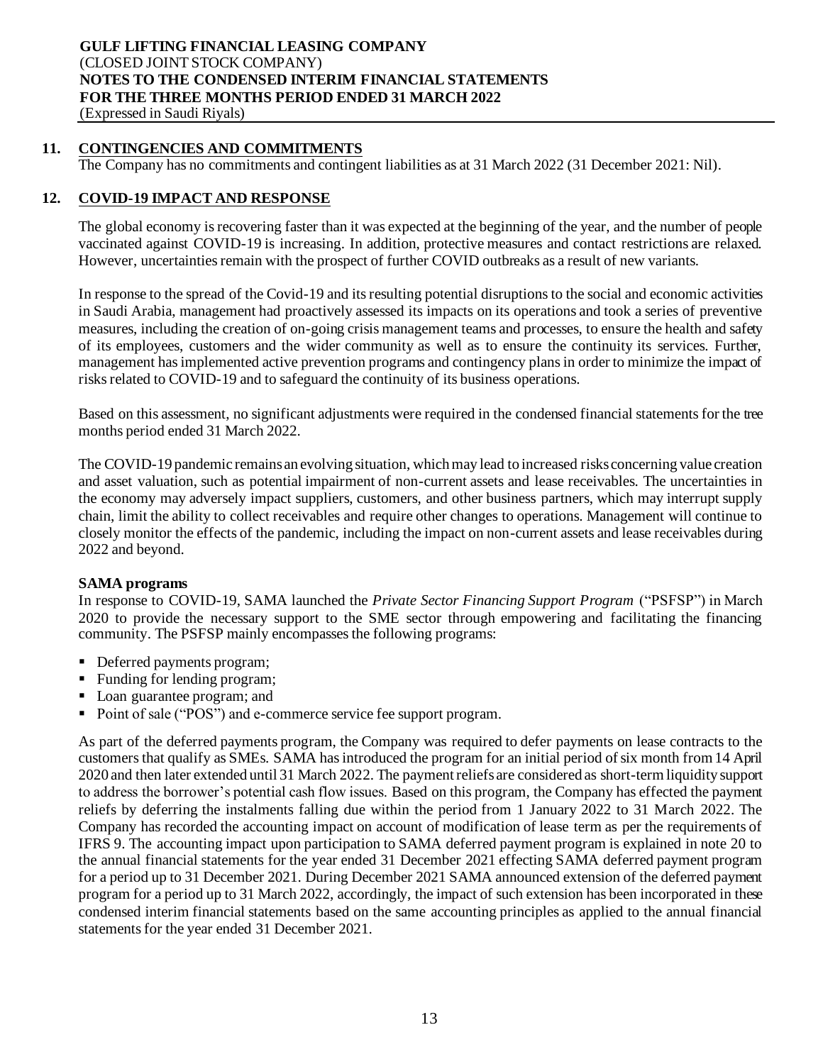# **11. CONTINGENCIES AND COMMITMENTS**

The Company has no commitments and contingent liabilities as at 31 March 2022 (31 December 2021: Nil).

#### **12. COVID-19 IMPACT AND RESPONSE**

The global economy is recovering faster than it was expected at the beginning of the year, and the number of people vaccinated against COVID-19 is increasing. In addition, protective measures and contact restrictions are relaxed. However, uncertainties remain with the prospect of further COVID outbreaks as a result of new variants.

In response to the spread of the Covid-19 and its resulting potential disruptions to the social and economic activities in Saudi Arabia, management had proactively assessed its impacts on its operations and took a series of preventive measures, including the creation of on-going crisis management teams and processes, to ensure the health and safety of its employees, customers and the wider community as well as to ensure the continuity its services. Further, management has implemented active prevention programs and contingency plans in order to minimize the impact of risks related to COVID-19 and to safeguard the continuity of its business operations.

Based on this assessment, no significant adjustments were required in the condensed financial statements for the tree months period ended 31 March 2022.

The COVID-19 pandemic remains an evolving situation, which may lead to increased risks concerning value creation and asset valuation, such as potential impairment of non-current assets and lease receivables. The uncertainties in the economy may adversely impact suppliers, customers, and other business partners, which may interrupt supply chain, limit the ability to collect receivables and require other changes to operations. Management will continue to closely monitor the effects of the pandemic, including the impact on non-current assets and lease receivables during 2022 and beyond.

#### **SAMA programs**

In response to COVID-19, SAMA launched the *Private Sector Financing Support Program* ("PSFSP") in March 2020 to provide the necessary support to the SME sector through empowering and facilitating the financing community. The PSFSP mainly encompasses the following programs:

- Deferred payments program;
- Funding for lending program;
- Loan guarantee program; and
- Point of sale ("POS") and e-commerce service fee support program.

As part of the deferred payments program, the Company was required to defer payments on lease contracts to the customers that qualify as SMEs. SAMA has introduced the program for an initial period of six month from 14 April 2020 and then later extended until 31 March 2022. The payment reliefs are considered as short-term liquidity support to address the borrower's potential cash flow issues. Based on this program, the Company has effected the payment reliefs by deferring the instalments falling due within the period from 1 January 2022 to 31 March 2022. The Company has recorded the accounting impact on account of modification of lease term as per the requirements of IFRS 9. The accounting impact upon participation to SAMA deferred payment program is explained in note 20 to the annual financial statements for the year ended 31 December 2021 effecting SAMA deferred payment program for a period up to 31 December 2021. During December 2021 SAMA announced extension of the deferred payment program for a period up to 31 March 2022, accordingly, the impact of such extension has been incorporated in these condensed interim financial statements based on the same accounting principles as applied to the annual financial statements for the year ended 31 December 2021.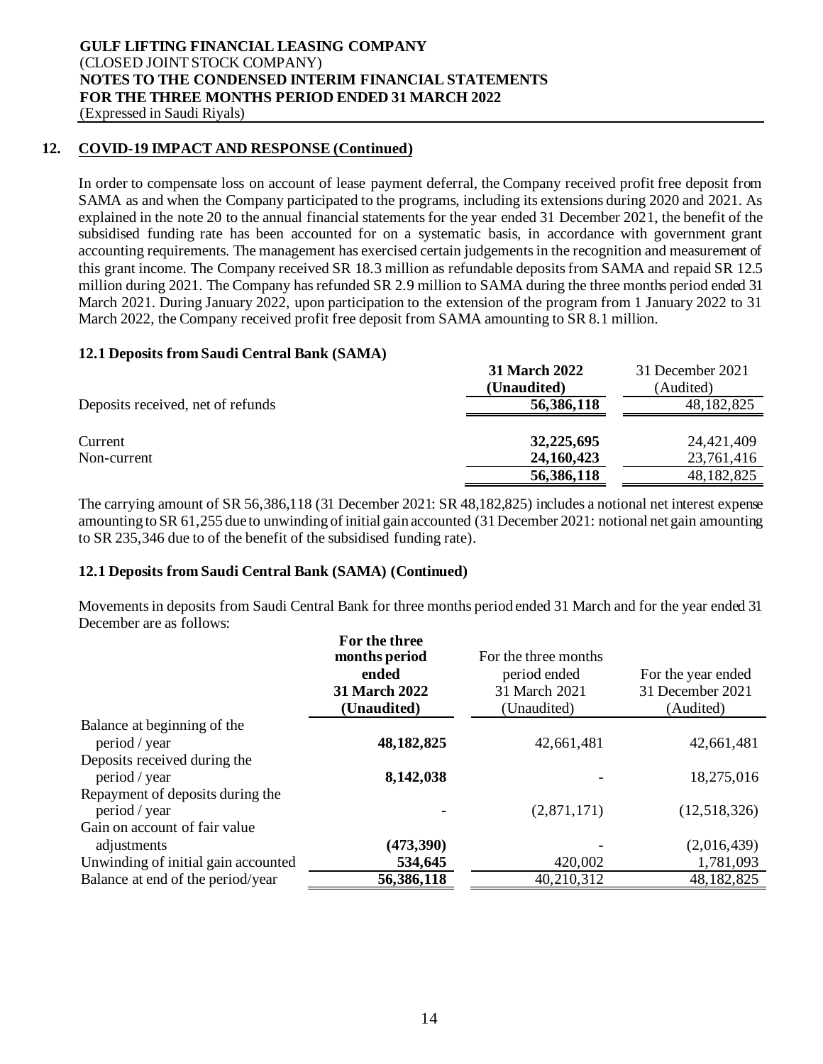#### **12. COVID-19 IMPACT AND RESPONSE (Continued)**

In order to compensate loss on account of lease payment deferral, the Company received profit free deposit from SAMA as and when the Company participated to the programs, including its extensions during 2020 and 2021. As explained in the note 20 to the annual financial statements for the year ended 31 December 2021, the benefit of the subsidised funding rate has been accounted for on a systematic basis, in accordance with government grant accounting requirements. The management has exercised certain judgements in the recognition and measurement of this grant income. The Company received SR 18.3 million as refundable deposits from SAMA and repaid SR 12.5 million during 2021. The Company has refunded SR 2.9 million to SAMA during the three months period ended 31 March 2021. During January 2022, upon participation to the extension of the program from 1 January 2022 to 31 March 2022, the Company received profit free deposit from SAMA amounting to SR 8.1 million.

#### **12.1 Deposits from Saudi Central Bank (SAMA)**

|                                   | <b>31 March 2022</b><br>(Unaudited) | 31 December 2021<br>(Audited) |
|-----------------------------------|-------------------------------------|-------------------------------|
| Deposits received, net of refunds | 56,386,118                          | 48, 182, 825                  |
| Current<br>Non-current            | 32,225,695<br>24, 160, 423          | 24,421,409<br>23,761,416      |
|                                   | 56,386,118                          | 48, 182, 825                  |

The carrying amount of SR 56,386,118 (31 December 2021: SR 48,182,825) includes a notional net interest expense amounting to SR 61,255 due to unwinding of initial gain accounted (31 December 2021: notional net gain amounting to SR 235,346 due to of the benefit of the subsidised funding rate).

#### **12.1 Deposits from Saudi Central Bank (SAMA) (Continued)**

Movementsin deposits from Saudi Central Bank for three months period ended 31 March and for the year ended 31 December are as follows:

|                                               | For the three<br>months period<br>ended<br>31 March 2022<br>(Unaudited) | For the three months<br>period ended<br>31 March 2021<br>(Unaudited) | For the year ended<br>31 December 2021<br>(Audited) |
|-----------------------------------------------|-------------------------------------------------------------------------|----------------------------------------------------------------------|-----------------------------------------------------|
| Balance at beginning of the                   |                                                                         |                                                                      |                                                     |
| period / year<br>Deposits received during the | 48, 182, 825                                                            | 42,661,481                                                           | 42,661,481                                          |
| period / year                                 | 8,142,038                                                               |                                                                      | 18,275,016                                          |
| Repayment of deposits during the              |                                                                         |                                                                      |                                                     |
| period / year                                 |                                                                         | (2,871,171)                                                          | (12,518,326)                                        |
| Gain on account of fair value                 |                                                                         |                                                                      |                                                     |
| adjustments                                   | (473,390)                                                               |                                                                      | (2,016,439)                                         |
| Unwinding of initial gain accounted           | 534,645                                                                 | 420,002                                                              | 1,781,093                                           |
| Balance at end of the period/year             | 56,386,118                                                              | 40,210,312                                                           | 48,182,825                                          |